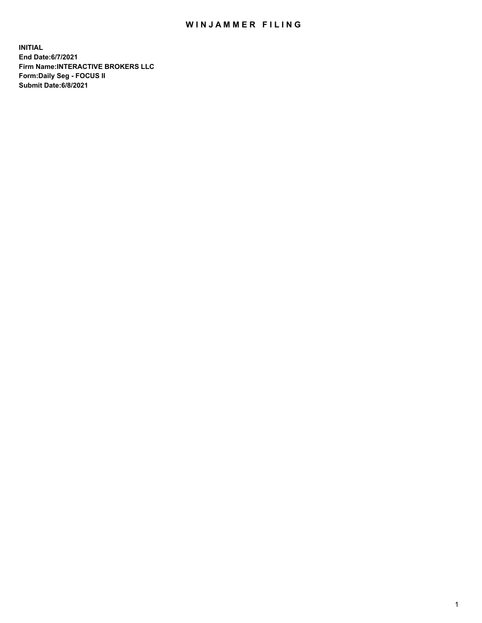## WIN JAMMER FILING

**INITIAL End Date:6/7/2021 Firm Name:INTERACTIVE BROKERS LLC Form:Daily Seg - FOCUS II Submit Date:6/8/2021**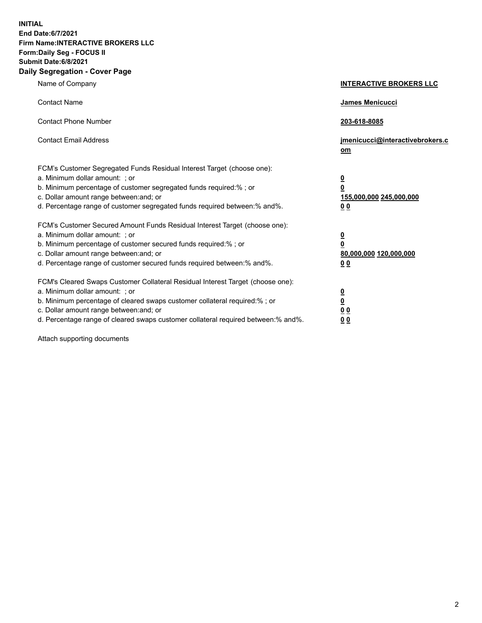**INITIAL End Date:6/7/2021 Firm Name:INTERACTIVE BROKERS LLC Form:Daily Seg - FOCUS II Submit Date:6/8/2021 Daily Segregation - Cover Page**

| Name of Company                                                                                                                                                                                                                                                                                                                | <b>INTERACTIVE BROKERS LLC</b>                                                                  |
|--------------------------------------------------------------------------------------------------------------------------------------------------------------------------------------------------------------------------------------------------------------------------------------------------------------------------------|-------------------------------------------------------------------------------------------------|
| <b>Contact Name</b>                                                                                                                                                                                                                                                                                                            | <b>James Menicucci</b>                                                                          |
| <b>Contact Phone Number</b>                                                                                                                                                                                                                                                                                                    | 203-618-8085                                                                                    |
| <b>Contact Email Address</b>                                                                                                                                                                                                                                                                                                   | jmenicucci@interactivebrokers.c<br>om                                                           |
| FCM's Customer Segregated Funds Residual Interest Target (choose one):<br>a. Minimum dollar amount: ; or<br>b. Minimum percentage of customer segregated funds required:%; or<br>c. Dollar amount range between: and; or<br>d. Percentage range of customer segregated funds required between:% and%.                          | $\overline{\mathbf{0}}$<br>$\overline{\mathbf{0}}$<br>155,000,000 245,000,000<br>0 <sub>0</sub> |
| FCM's Customer Secured Amount Funds Residual Interest Target (choose one):<br>a. Minimum dollar amount: ; or<br>b. Minimum percentage of customer secured funds required:%; or<br>c. Dollar amount range between: and; or<br>d. Percentage range of customer secured funds required between:% and%.                            | $\overline{\mathbf{0}}$<br>$\overline{\mathbf{0}}$<br>80,000,000 120,000,000<br>0 <sub>0</sub>  |
| FCM's Cleared Swaps Customer Collateral Residual Interest Target (choose one):<br>a. Minimum dollar amount: ; or<br>b. Minimum percentage of cleared swaps customer collateral required:% ; or<br>c. Dollar amount range between: and; or<br>d. Percentage range of cleared swaps customer collateral required between:% and%. | $\overline{\mathbf{0}}$<br>$\overline{\mathbf{0}}$<br>0 <sub>0</sub><br>0 <sub>0</sub>          |

Attach supporting documents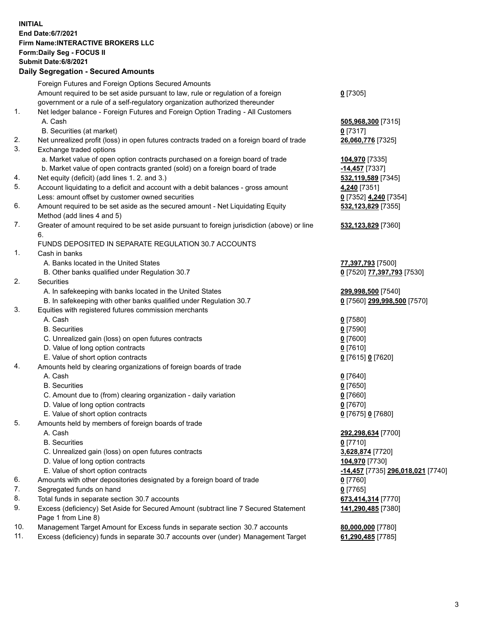## **INITIAL End Date:6/7/2021 Firm Name:INTERACTIVE BROKERS LLC Form:Daily Seg - FOCUS II Submit Date:6/8/2021 Daily Segregation - Secured Amounts**

|     | Daily Jegiegation - Jeculed Aniounts                                                                       |                                        |
|-----|------------------------------------------------------------------------------------------------------------|----------------------------------------|
|     | Foreign Futures and Foreign Options Secured Amounts                                                        |                                        |
|     | Amount required to be set aside pursuant to law, rule or regulation of a foreign                           | $0$ [7305]                             |
|     | government or a rule of a self-regulatory organization authorized thereunder                               |                                        |
| 1.  | Net ledger balance - Foreign Futures and Foreign Option Trading - All Customers                            |                                        |
|     | A. Cash                                                                                                    | 505,968,300 [7315]                     |
|     | B. Securities (at market)                                                                                  | $0$ [7317]                             |
| 2.  | Net unrealized profit (loss) in open futures contracts traded on a foreign board of trade                  | 26,060,776 [7325]                      |
| 3.  | Exchange traded options                                                                                    |                                        |
|     | a. Market value of open option contracts purchased on a foreign board of trade                             | 104,970 [7335]                         |
|     | b. Market value of open contracts granted (sold) on a foreign board of trade                               | $-14,457$ [7337]                       |
| 4.  | Net equity (deficit) (add lines 1. 2. and 3.)                                                              | 532,119,589 [7345]                     |
| 5.  | Account liquidating to a deficit and account with a debit balances - gross amount                          | 4,240 [7351]                           |
|     | Less: amount offset by customer owned securities                                                           | 0 [7352] 4,240 [7354]                  |
| 6.  | Amount required to be set aside as the secured amount - Net Liquidating Equity                             | 532,123,829 [7355]                     |
|     | Method (add lines 4 and 5)                                                                                 |                                        |
| 7.  | Greater of amount required to be set aside pursuant to foreign jurisdiction (above) or line                | 532,123,829 [7360]                     |
|     | 6.                                                                                                         |                                        |
|     | FUNDS DEPOSITED IN SEPARATE REGULATION 30.7 ACCOUNTS                                                       |                                        |
| 1.  | Cash in banks                                                                                              |                                        |
|     | A. Banks located in the United States                                                                      | 77,397,793 [7500]                      |
|     | B. Other banks qualified under Regulation 30.7                                                             | 0 [7520] 77,397,793 [7530]             |
| 2.  | Securities                                                                                                 |                                        |
|     | A. In safekeeping with banks located in the United States                                                  | 299,998,500 [7540]                     |
|     | B. In safekeeping with other banks qualified under Regulation 30.7                                         | 0 [7560] 299,998,500 [7570]            |
| 3.  | Equities with registered futures commission merchants                                                      |                                        |
|     | A. Cash                                                                                                    | $0$ [7580]                             |
|     | <b>B.</b> Securities                                                                                       | $0$ [7590]                             |
|     | C. Unrealized gain (loss) on open futures contracts                                                        | $0$ [7600]                             |
|     | D. Value of long option contracts                                                                          | $0$ [7610]                             |
|     | E. Value of short option contracts                                                                         | 0 [7615] 0 [7620]                      |
| 4.  | Amounts held by clearing organizations of foreign boards of trade                                          |                                        |
|     | A. Cash                                                                                                    | $0$ [7640]                             |
|     | <b>B.</b> Securities                                                                                       | $0$ [7650]                             |
|     | C. Amount due to (from) clearing organization - daily variation                                            | $0$ [7660]                             |
|     | D. Value of long option contracts                                                                          | $0$ [7670]                             |
|     | E. Value of short option contracts                                                                         | 0 [7675] 0 [7680]                      |
| 5.  | Amounts held by members of foreign boards of trade                                                         |                                        |
|     | A. Cash                                                                                                    | 292,298,634 [7700]                     |
|     | <b>B.</b> Securities                                                                                       | $0$ [7710]                             |
|     | C. Unrealized gain (loss) on open futures contracts                                                        | 3,628,874 [7720]                       |
|     | D. Value of long option contracts                                                                          | 104,970 [7730]                         |
|     | E. Value of short option contracts                                                                         | -14,457 [7735] 296,018,021 [7740]      |
| 6.  | Amounts with other depositories designated by a foreign board of trade                                     | 0 [7760]                               |
| 7.  | Segregated funds on hand                                                                                   | $0$ [7765]                             |
| 8.  | Total funds in separate section 30.7 accounts                                                              | 673,414,314 [7770]                     |
| 9.  | Excess (deficiency) Set Aside for Secured Amount (subtract line 7 Secured Statement<br>Page 1 from Line 8) | 141,290,485 [7380]                     |
| 10. | Management Target Amount for Excess funds in separate section 30.7 accounts                                |                                        |
| 11. | Excess (deficiency) funds in separate 30.7 accounts over (under) Management Target                         | 80,000,000 [7780]<br>61,290,485 [7785] |
|     |                                                                                                            |                                        |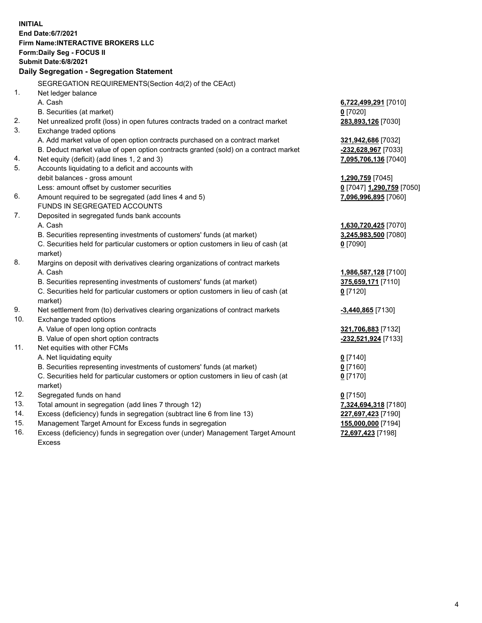**INITIAL End Date:6/7/2021 Firm Name:INTERACTIVE BROKERS LLC Form:Daily Seg - FOCUS II Submit Date:6/8/2021 Daily Segregation - Segregation Statement** SEGREGATION REQUIREMENTS(Section 4d(2) of the CEAct) 1. Net ledger balance A. Cash **6,722,499,291** [7010] B. Securities (at market) **0** [7020] 2. Net unrealized profit (loss) in open futures contracts traded on a contract market **283,893,126** [7030] 3. Exchange traded options A. Add market value of open option contracts purchased on a contract market **321,942,686** [7032] B. Deduct market value of open option contracts granted (sold) on a contract market **-232,628,967** [7033] 4. Net equity (deficit) (add lines 1, 2 and 3) **7,095,706,136** [7040] 5. Accounts liquidating to a deficit and accounts with debit balances - gross amount **1,290,759** [7045] Less: amount offset by customer securities **0** [7047] **1,290,759** [7050] 6. Amount required to be segregated (add lines 4 and 5) **7,096,996,895** [7060] FUNDS IN SEGREGATED ACCOUNTS 7. Deposited in segregated funds bank accounts A. Cash **1,630,720,425** [7070] B. Securities representing investments of customers' funds (at market) **3,245,983,500** [7080] C. Securities held for particular customers or option customers in lieu of cash (at market) **0** [7090] 8. Margins on deposit with derivatives clearing organizations of contract markets A. Cash **1,986,587,128** [7100] B. Securities representing investments of customers' funds (at market) **375,659,171** [7110] C. Securities held for particular customers or option customers in lieu of cash (at market) **0** [7120] 9. Net settlement from (to) derivatives clearing organizations of contract markets **-3,440,865** [7130] 10. Exchange traded options A. Value of open long option contracts **321,706,883** [7132] B. Value of open short option contracts **-232,521,924** [7133] 11. Net equities with other FCMs A. Net liquidating equity **0** [7140] B. Securities representing investments of customers' funds (at market) **0** [7160] C. Securities held for particular customers or option customers in lieu of cash (at market) **0** [7170] 12. Segregated funds on hand **0** [7150] 13. Total amount in segregation (add lines 7 through 12) **7,324,694,318** [7180] 14. Excess (deficiency) funds in segregation (subtract line 6 from line 13) **227,697,423** [7190] 15. Management Target Amount for Excess funds in segregation **155,000,000** [7194] 16. Excess (deficiency) funds in segregation over (under) Management Target Amount **72,697,423** [7198]

Excess